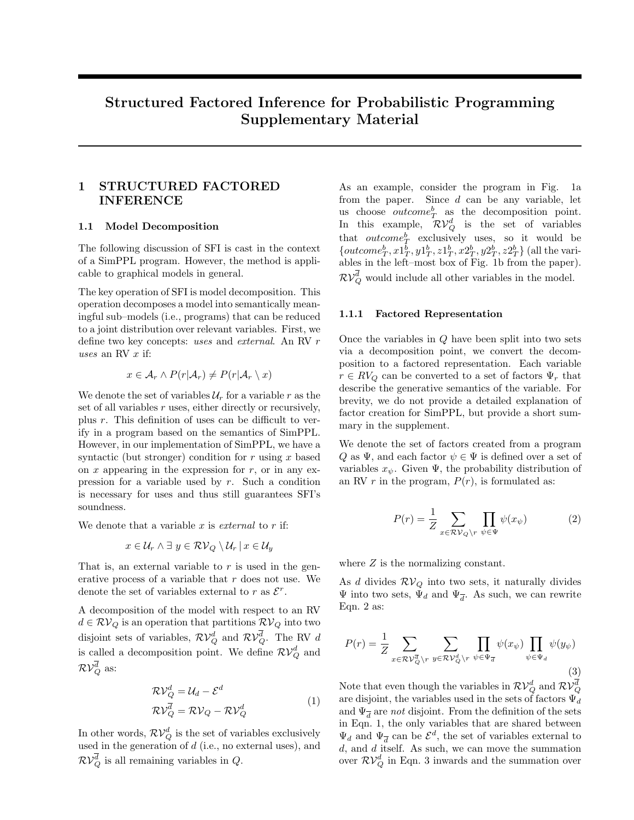# Structured Factored Inference for Probabilistic Programming Supplementary Material

## 1 STRUCTURED FACTORED INFERENCE

### 1.1 Model Decomposition

The following discussion of SFI is cast in the context of a SimPPL program. However, the method is applicable to graphical models in general.

The key operation of SFI is model decomposition. This operation decomposes a model into semantically meaningful sub–models (i.e., programs) that can be reduced to a joint distribution over relevant variables. First, we define two key concepts: uses and external. An RV r uses an RV  $x$  if:

$$
x \in \mathcal{A}_r \wedge P(r|\mathcal{A}_r) \neq P(r|\mathcal{A}_r \setminus x)
$$

We denote the set of variables  $\mathcal{U}_r$  for a variable r as the set of all variables  $r$  uses, either directly or recursively, plus r. This definition of uses can be difficult to verify in a program based on the semantics of SimPPL. However, in our implementation of SimPPL, we have a syntactic (but stronger) condition for r using x based on x appearing in the expression for  $r$ , or in any expression for a variable used by  $r$ . Such a condition is necessary for uses and thus still guarantees SFI's soundness.

We denote that a variable  $x$  is *external* to  $r$  if:

$$
x \in \mathcal{U}_r \land \exists y \in \mathcal{RV}_Q \setminus \mathcal{U}_r \, | \, x \in \mathcal{U}_y
$$

That is, an external variable to  $r$  is used in the generative process of a variable that r does not use. We denote the set of variables external to r as  $\mathcal{E}^r$ .

A decomposition of the model with respect to an RV  $d \in \mathcal{RV}_Q$  is an operation that partitions  $\mathcal{RV}_Q$  into two disjoint sets of variables,  $\mathcal{RV}_Q^d$  and  $\mathcal{RV}_Q^d$ . The RV d is called a decomposition point. We define  $\mathcal{RV}_{Q}^{d}$  and  $\mathcal{RV}_Q^d$  as:

$$
\mathcal{RV}_{Q}^{d} = \mathcal{U}_{d} - \mathcal{E}^{d}
$$
  
\n
$$
\mathcal{RV}_{Q}^{\overline{d}} = \mathcal{RV}_{Q} - \mathcal{RV}_{Q}^{d}
$$
 (1)

In other words,  $\mathcal{RV}_{Q}^{d}$  is the set of variables exclusively used in the generation of  $d$  (i.e., no external uses), and  $\mathcal{RV}_Q^d$  is all remaining variables in  $Q$ .

As an example, consider the program in Fig. 1a from the paper. Since  $d$  can be any variable, let us choose *outcome*<sup>b</sup><sub>T</sub> as the decomposition point. In this example,  $\mathcal{RV}_{Q}^{d}$  is the set of variables that  $outcome^b_T$  exclusively uses, so it would be  ${{outcome}_T^b, x1_T^b, y1_T^b, z1_T^b, x2_T^b, y2_T^b, z2_T^b}$  (all the variables in the left–most box of Fig. 1b from the paper).  $\mathcal{RV}_Q^d$  would include all other variables in the model.

#### 1.1.1 Factored Representation

Once the variables in Q have been split into two sets via a decomposition point, we convert the decomposition to a factored representation. Each variable  $r \in RV_Q$  can be converted to a set of factors  $\Psi_r$  that describe the generative semantics of the variable. For brevity, we do not provide a detailed explanation of factor creation for SimPPL, but provide a short summary in the supplement.

We denote the set of factors created from a program Q as  $\Psi$ , and each factor  $\psi \in \Psi$  is defined over a set of variables  $x_{\psi}$ . Given  $\Psi$ , the probability distribution of an RV r in the program,  $P(r)$ , is formulated as:

$$
P(r) = \frac{1}{Z} \sum_{x \in \mathcal{RV}_Q \backslash r} \prod_{\psi \in \Psi} \psi(x_{\psi})
$$
 (2)

where  $Z$  is the normalizing constant.

As d divides  $\mathcal{RV}_Q$  into two sets, it naturally divides  $\Psi$  into two sets,  $\Psi_d$  and  $\Psi_{\overline{d}}$ . As such, we can rewrite Eqn. 2 as:

$$
P(r) = \frac{1}{Z} \sum_{x \in \mathcal{RV}_Q^{\overline{d}} \backslash r} \sum_{y \in \mathcal{RV}_Q^d \backslash r} \prod_{\psi \in \Psi_{\overline{d}}} \psi(x_{\psi}) \prod_{\psi \in \Psi_d} \psi(y_{\psi})
$$
\n(3)

Note that even though the variables in  $\mathcal{RV}_Q^d$  and  $\mathcal{RV}_Q^d$ are disjoint, the variables used in the sets of factors  $\Psi_d$ and  $\Psi_{\overline{d}}$  are *not* disjoint. From the definition of the sets in Eqn. 1, the only variables that are shared between  $\Psi_d$  and  $\Psi_{\overline{d}}$  can be  $\mathcal{E}^d$ , the set of variables external to d, and d itself. As such, we can move the summation over  $\mathcal{RV}_{Q}^{d}$  in Eqn. 3 inwards and the summation over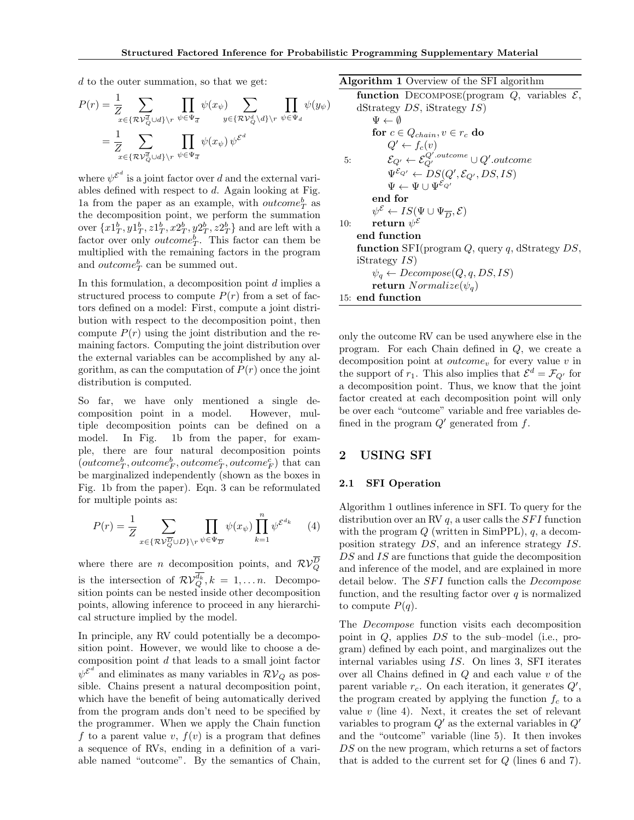d to the outer summation, so that we get:

$$
P(r) = \frac{1}{Z} \sum_{x \in \{\mathcal{RV}_Q^{\overline{d}} \cup d\} \backslash r} \prod_{\psi \in \Psi_{\overline{d}}} \psi(x_{\psi}) \sum_{y \in \{\mathcal{RV}_Q^d \backslash d\} \backslash r} \prod_{\psi \in \Psi_d} \psi(y_{\psi})
$$
  
= 
$$
\frac{1}{Z} \sum_{x \in \{\mathcal{RV}_Q^{\overline{d}} \cup d\} \backslash r} \prod_{\psi \in \Psi_{\overline{d}}} \psi(x_{\psi}) \psi^{\mathcal{E}^d}
$$

where  $\psi^{\mathcal{E}^d}$  is a joint factor over d and the external variables defined with respect to  $d$ . Again looking at Fig. 1a from the paper as an example, with  $outcome<sup>b</sup><sub>T</sub>$  as the decomposition point, we perform the summation over  $\{x1^b_T, y1^b_T, z1^b_T, x2^b_T, y2^b_T, z2^b_T\}$  and are left with a factor over only *outcome<sup>b</sup><sub>1</sub>*. This factor can them be multiplied with the remaining factors in the program and  $outcome_T^b$  can be summed out.

In this formulation, a decomposition point  $d$  implies a structured process to compute  $P(r)$  from a set of factors defined on a model: First, compute a joint distribution with respect to the decomposition point, then compute  $P(r)$  using the joint distribution and the remaining factors. Computing the joint distribution over the external variables can be accomplished by any algorithm, as can the computation of  $P(r)$  once the joint distribution is computed.

So far, we have only mentioned a single decomposition point in a model. However, multiple decomposition points can be defined on a model. In Fig. 1b from the paper, for example, there are four natural decomposition points  $(\mathit{outcome}_T^b, \mathit{outcome}_F^b, \mathit{outcome}_T^c, \mathit{outcome}_F^c)$  that can be marginalized independently (shown as the boxes in Fig. 1b from the paper). Eqn. 3 can be reformulated for multiple points as:

$$
P(r) = \frac{1}{Z} \sum_{x \in \{\mathcal{RV}_Q^{\overline{D}} \cup D\} \backslash r} \prod_{\psi \in \Psi_{\overline{D}}} \psi(x_{\psi}) \prod_{k=1}^n \psi^{\mathcal{E}^{d_k}} \qquad (4)
$$

where there are *n* decomposition points, and  $RV_{Q}^{D}$ is the intersection of  $\mathcal{RV}_Q^{d_k}, k = 1, \ldots n$ . Decomposition points can be nested inside other decomposition points, allowing inference to proceed in any hierarchical structure implied by the model.

In principle, any RV could potentially be a decomposition point. However, we would like to choose a decomposition point  $d$  that leads to a small joint factor  $\psi^{\mathcal{E}^d}$  and eliminates as many variables in  $\mathcal{RV}_Q$  as possible. Chains present a natural decomposition point, which have the benefit of being automatically derived from the program ands don't need to be specified by the programmer. When we apply the Chain function f to a parent value v,  $f(v)$  is a program that defines a sequence of RVs, ending in a definition of a variable named "outcome". By the semantics of Chain,

Algorithm 1 Overview of the SFI algorithm

function DECOMPOSE(program  $Q$ , variables  $\mathcal{E}$ , dStrategy  $DS$ , iStrategy  $IS$  $\Psi \leftarrow \emptyset$ for  $c \in Q_{chain}$ ,  $v \in r_c$  do  $Q' \leftarrow f_c(v)$ 5:  $\mathcal{E}_{Q'} \leftarrow \mathcal{E}_{Q'}^{Q'.outcome} \cup Q'.outcome$  $\Psi^{\mathcal{E}_{Q'}} \leftarrow DS(Q', \mathcal{E}_{Q'}, DS, IS)$  $\Psi \leftarrow \Psi \cup \Psi^{\mathcal{E}_{Q'}}$ end for  $\psi^{\mathcal{E}} \leftarrow IS(\Psi \cup \Psi_{\overline{D}}, \mathcal{E})$ 10: return  $\psi^{\mathcal{E}}$ end function function SFI(program  $Q$ , query q, dStrategy  $DS$ , iStrategy IS)  $\psi_q \leftarrow Decompose(Q, q, DS, IS)$ return  $Normalize(\psi_q)$ 15: end function

only the outcome RV can be used anywhere else in the program. For each Chain defined in Q, we create a decomposition point at  $outcome_v$  for every value v in the support of  $r_1$ . This also implies that  $\mathcal{E}^d = \mathcal{F}_{Q'}$  for a decomposition point. Thus, we know that the joint factor created at each decomposition point will only be over each "outcome" variable and free variables defined in the program  $Q'$  generated from f.

## 2 USING SFI

#### 2.1 SFI Operation

Algorithm 1 outlines inference in SFI. To query for the distribution over an RV  $q$ , a user calls the *SFI* function with the program  $Q$  (written in SimPPL),  $q$ , a decomposition strategy DS, and an inference strategy IS. DS and IS are functions that guide the decomposition and inference of the model, and are explained in more detail below. The  $SFI$  function calls the  $Decompose$ function, and the resulting factor over  $q$  is normalized to compute  $P(q)$ .

The Decompose function visits each decomposition point in  $Q$ , applies  $DS$  to the sub–model (i.e., program) defined by each point, and marginalizes out the internal variables using IS. On lines 3, SFI iterates over all Chains defined in Q and each value v of the parent variable  $r_c$ . On each iteration, it generates  $Q'$ , the program created by applying the function  $f_c$  to a value  $v$  (line 4). Next, it creates the set of relevant variables to program  $Q'$  as the external variables in  $Q'$ and the "outcome" variable (line 5). It then invokes DS on the new program, which returns a set of factors that is added to the current set for Q (lines 6 and 7).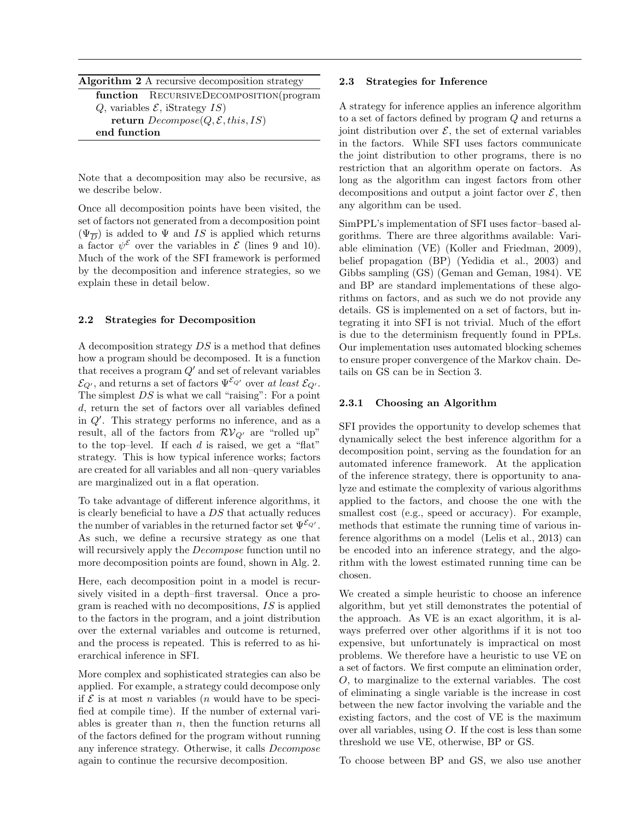| <b>Algorithm 2</b> A recursive decomposition strategy |  |
|-------------------------------------------------------|--|
| function RECURSIVEDECOMPOSITION(program               |  |
| Q, variables $\mathcal{E}$ , iStrategy $IS$           |  |
| return $Decompose(Q, \mathcal{E}, this, IS)$          |  |
| end function                                          |  |

Note that a decomposition may also be recursive, as we describe below.

Once all decomposition points have been visited, the set of factors not generated from a decomposition point  $(\Psi_{\overline{D}})$  is added to  $\Psi$  and IS is applied which returns a factor  $\psi^{\mathcal{E}}$  over the variables in  $\mathcal{E}$  (lines 9 and 10). Much of the work of the SFI framework is performed by the decomposition and inference strategies, so we explain these in detail below.

### 2.2 Strategies for Decomposition

A decomposition strategy DS is a method that defines how a program should be decomposed. It is a function that receives a program  $Q'$  and set of relevant variables  $\mathcal{E}_{Q'}$ , and returns a set of factors  $\Psi^{\mathcal{E}_{Q'}}$  over at least  $\mathcal{E}_{Q'}$ . The simplest  $DS$  is what we call "raising": For a point d, return the set of factors over all variables defined in  $Q'$ . This strategy performs no inference, and as a result, all of the factors from  $\mathcal{RV}_{Q'}$  are "rolled up" to the top–level. If each  $d$  is raised, we get a "flat" strategy. This is how typical inference works; factors are created for all variables and all non–query variables are marginalized out in a flat operation.

To take advantage of different inference algorithms, it is clearly beneficial to have a DS that actually reduces the number of variables in the returned factor set  $\Psi^{\mathcal{E}_{Q'}}$ . As such, we define a recursive strategy as one that will recursively apply the *Decompose* function until no more decomposition points are found, shown in Alg. 2.

Here, each decomposition point in a model is recursively visited in a depth–first traversal. Once a program is reached with no decompositions, IS is applied to the factors in the program, and a joint distribution over the external variables and outcome is returned, and the process is repeated. This is referred to as hierarchical inference in SFI.

More complex and sophisticated strategies can also be applied. For example, a strategy could decompose only if  $\mathcal E$  is at most n variables (n would have to be specified at compile time). If the number of external variables is greater than  $n$ , then the function returns all of the factors defined for the program without running any inference strategy. Otherwise, it calls Decompose again to continue the recursive decomposition.

### 2.3 Strategies for Inference

A strategy for inference applies an inference algorithm to a set of factors defined by program Q and returns a joint distribution over  $\mathcal{E}$ , the set of external variables in the factors. While SFI uses factors communicate the joint distribution to other programs, there is no restriction that an algorithm operate on factors. As long as the algorithm can ingest factors from other decompositions and output a joint factor over  $\mathcal{E}$ , then any algorithm can be used.

SimPPL's implementation of SFI uses factor–based algorithms. There are three algorithms available: Variable elimination (VE) (Koller and Friedman, 2009), belief propagation (BP) (Yedidia et al., 2003) and Gibbs sampling (GS) (Geman and Geman, 1984). VE and BP are standard implementations of these algorithms on factors, and as such we do not provide any details. GS is implemented on a set of factors, but integrating it into SFI is not trivial. Much of the effort is due to the determinism frequently found in PPLs. Our implementation uses automated blocking schemes to ensure proper convergence of the Markov chain. Details on GS can be in Section 3.

### 2.3.1 Choosing an Algorithm

SFI provides the opportunity to develop schemes that dynamically select the best inference algorithm for a decomposition point, serving as the foundation for an automated inference framework. At the application of the inference strategy, there is opportunity to analyze and estimate the complexity of various algorithms applied to the factors, and choose the one with the smallest cost (e.g., speed or accuracy). For example, methods that estimate the running time of various inference algorithms on a model (Lelis et al., 2013) can be encoded into an inference strategy, and the algorithm with the lowest estimated running time can be chosen.

We created a simple heuristic to choose an inference algorithm, but yet still demonstrates the potential of the approach. As VE is an exact algorithm, it is always preferred over other algorithms if it is not too expensive, but unfortunately is impractical on most problems. We therefore have a heuristic to use VE on a set of factors. We first compute an elimination order, O, to marginalize to the external variables. The cost of eliminating a single variable is the increase in cost between the new factor involving the variable and the existing factors, and the cost of VE is the maximum over all variables, using O. If the cost is less than some threshold we use VE, otherwise, BP or GS.

To choose between BP and GS, we also use another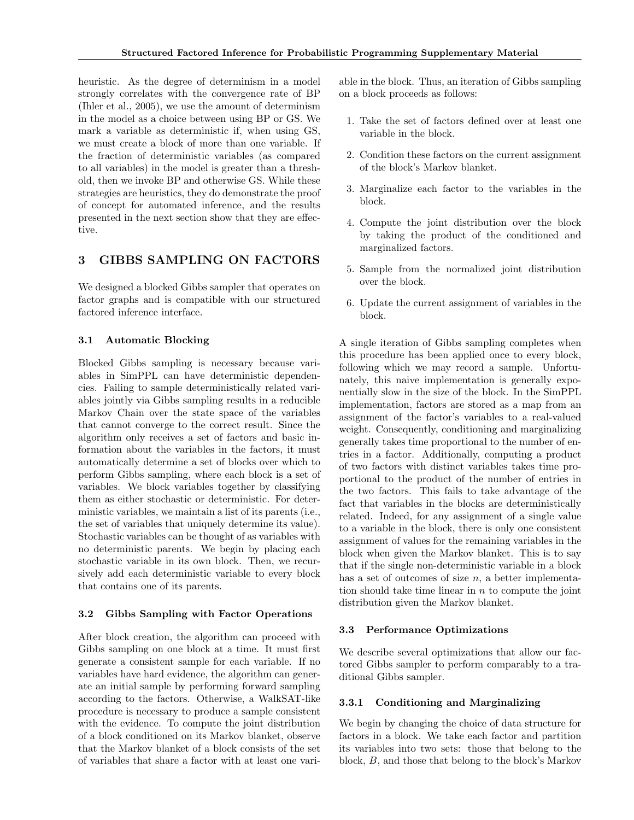heuristic. As the degree of determinism in a model strongly correlates with the convergence rate of BP (Ihler et al., 2005), we use the amount of determinism in the model as a choice between using BP or GS. We mark a variable as deterministic if, when using GS, we must create a block of more than one variable. If the fraction of deterministic variables (as compared to all variables) in the model is greater than a threshold, then we invoke BP and otherwise GS. While these strategies are heuristics, they do demonstrate the proof of concept for automated inference, and the results presented in the next section show that they are effective.

### 3 GIBBS SAMPLING ON FACTORS

We designed a blocked Gibbs sampler that operates on factor graphs and is compatible with our structured factored inference interface.

### 3.1 Automatic Blocking

Blocked Gibbs sampling is necessary because variables in SimPPL can have deterministic dependencies. Failing to sample deterministically related variables jointly via Gibbs sampling results in a reducible Markov Chain over the state space of the variables that cannot converge to the correct result. Since the algorithm only receives a set of factors and basic information about the variables in the factors, it must automatically determine a set of blocks over which to perform Gibbs sampling, where each block is a set of variables. We block variables together by classifying them as either stochastic or deterministic. For deterministic variables, we maintain a list of its parents (i.e., the set of variables that uniquely determine its value). Stochastic variables can be thought of as variables with no deterministic parents. We begin by placing each stochastic variable in its own block. Then, we recursively add each deterministic variable to every block that contains one of its parents.

### 3.2 Gibbs Sampling with Factor Operations

After block creation, the algorithm can proceed with Gibbs sampling on one block at a time. It must first generate a consistent sample for each variable. If no variables have hard evidence, the algorithm can generate an initial sample by performing forward sampling according to the factors. Otherwise, a WalkSAT-like procedure is necessary to produce a sample consistent with the evidence. To compute the joint distribution of a block conditioned on its Markov blanket, observe that the Markov blanket of a block consists of the set of variables that share a factor with at least one variable in the block. Thus, an iteration of Gibbs sampling on a block proceeds as follows:

- 1. Take the set of factors defined over at least one variable in the block.
- 2. Condition these factors on the current assignment of the block's Markov blanket.
- 3. Marginalize each factor to the variables in the block.
- 4. Compute the joint distribution over the block by taking the product of the conditioned and marginalized factors.
- 5. Sample from the normalized joint distribution over the block.
- 6. Update the current assignment of variables in the block.

A single iteration of Gibbs sampling completes when this procedure has been applied once to every block, following which we may record a sample. Unfortunately, this naive implementation is generally exponentially slow in the size of the block. In the SimPPL implementation, factors are stored as a map from an assignment of the factor's variables to a real-valued weight. Consequently, conditioning and marginalizing generally takes time proportional to the number of entries in a factor. Additionally, computing a product of two factors with distinct variables takes time proportional to the product of the number of entries in the two factors. This fails to take advantage of the fact that variables in the blocks are deterministically related. Indeed, for any assignment of a single value to a variable in the block, there is only one consistent assignment of values for the remaining variables in the block when given the Markov blanket. This is to say that if the single non-deterministic variable in a block has a set of outcomes of size  $n$ , a better implementation should take time linear in  $n$  to compute the joint distribution given the Markov blanket.

### 3.3 Performance Optimizations

We describe several optimizations that allow our factored Gibbs sampler to perform comparably to a traditional Gibbs sampler.

### 3.3.1 Conditioning and Marginalizing

We begin by changing the choice of data structure for factors in a block. We take each factor and partition its variables into two sets: those that belong to the block, B, and those that belong to the block's Markov